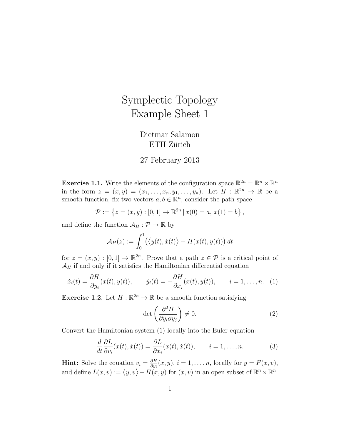## Symplectic Topology Example Sheet 1

## Dietmar Salamon ETH Zürich

## 27 February 2013

**Exercise 1.1.** Write the elements of the configuration space  $\mathbb{R}^{2n} = \mathbb{R}^n \times \mathbb{R}^n$ in the form  $z = (x, y) = (x_1, \ldots, x_n, y_1, \ldots, y_n)$ . Let  $H : \mathbb{R}^{2n} \to \mathbb{R}$  be a smooth function, fix two vectors  $a, b \in \mathbb{R}^n$ , consider the path space

$$
\mathcal{P} := \{ z = (x, y) : [0, 1] \to \mathbb{R}^{2n} \, | \, x(0) = a, \, x(1) = b \},
$$

and define the function  $A_H : \mathcal{P} \to \mathbb{R}$  by

$$
\mathcal{A}_H(z):=\int_0^1\bigl(\bigl\langle y(t),\dot x(t)\bigr\rangle-H(x(t),y(t))\bigr)\,dt
$$

for  $z = (x, y) : [0, 1] \to \mathbb{R}^{2n}$ . Prove that a path  $z \in \mathcal{P}$  is a critical point of  $\mathcal{A}_H$  if and only if it satisfies the Hamiltonian differential equation

$$
\dot{x}_i(t) = \frac{\partial H}{\partial y_i}(x(t), y(t)), \qquad \dot{y}_i(t) = -\frac{\partial H}{\partial x_i}(x(t), y(t)), \qquad i = 1, \dots, n. \tag{1}
$$

**Exercise 1.2.** Let  $H : \mathbb{R}^{2n} \to \mathbb{R}$  be a smooth function satisfying

$$
\det\left(\frac{\partial^2 H}{\partial y_i \partial y_j}\right) \neq 0. \tag{2}
$$

Convert the Hamiltonian system (1) locally into the Euler equation

$$
\frac{d}{dt}\frac{\partial L}{\partial v_i}(x(t),\dot{x}(t)) = \frac{\partial L}{\partial x_i}(x(t),\dot{x}(t)), \qquad i = 1,\ldots,n.
$$
 (3)

**Hint:** Solve the equation  $v_i = \frac{\partial H}{\partial u_i}$  $\frac{\partial H}{\partial y_i}(x, y), i = 1, \ldots, n$ , locally for  $y = F(x, v)$ , and define  $L(x, v) := \langle y, v \rangle - H(x, y)$  for  $(x, v)$  in an open subset of  $\mathbb{R}^n \times \mathbb{R}^n$ .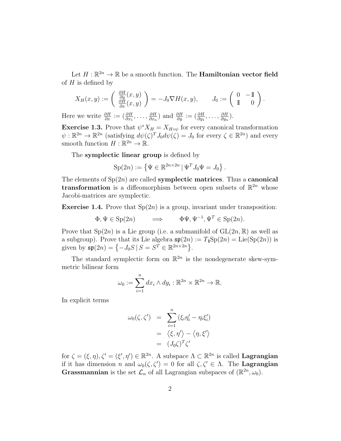Let  $H: \mathbb{R}^{2n} \to \mathbb{R}$  be a smooth function. The **Hamiltonian vector field** of  $H$  is defined by

$$
X_H(x,y) := \begin{pmatrix} \frac{\partial H}{\partial y}(x,y) \\ \frac{\partial H}{\partial x}(x,y) \end{pmatrix} = -J_0 \nabla H(x,y), \qquad J_0 := \begin{pmatrix} 0 & -1 \\ 1 & 0 \end{pmatrix}.
$$

Here we write  $\frac{\partial H}{\partial x} := (\frac{\partial H}{\partial x_1}, \dots, \frac{\partial H}{\partial x_n})$  $\frac{\partial H}{\partial x_n}$ ) and  $\frac{\partial H}{\partial y} := (\frac{\partial H}{\partial y_1}, \dots, \frac{\partial H}{\partial y_n})$  $\frac{\partial H}{\partial y_n}$ ).

**Exercise 1.3.** Prove that  $\psi^* X_H = X_{H \circ \psi}$  for every canonical transformation  $\psi: \mathbb{R}^{2n} \to \mathbb{R}^{2n}$  (satisfying  $d\psi(\zeta)^T J_0 d\psi(\zeta) = J_0$  for every  $\zeta \in \mathbb{R}^{2n}$ ) and every smooth function  $H : \mathbb{R}^{2n} \to \mathbb{R}$ .

The symplectic linear group is defined by

$$
\mathrm{Sp}(2n) := \left\{ \Psi \in \mathbb{R}^{2n \times 2n} \, | \, \Psi^T J_0 \Psi = J_0 \right\}.
$$

The elements of  $Sp(2n)$  are called **symplectic matrices**. Thus a **canonical transformation** is a diffeomorphism between open subsets of  $\mathbb{R}^{2n}$  whose Jacobi-matrices are symplectic.

**Exercise 1.4.** Prove that  $Sp(2n)$  is a group, invariant under transposition:

$$
\Phi, \Psi \in \text{Sp}(2n) \qquad \Longrightarrow \qquad \Phi \Psi, \Psi^{-1}, \Psi^T \in \text{Sp}(2n).
$$

Prove that  $Sp(2n)$  is a Lie group (i.e. a submanifold of  $GL(2n, \mathbb{R})$  as well as a subgroup). Prove that its Lie algebra  $\mathfrak{sp}(2n) := T_1 \text{Sp}(2n) = \text{Lie}(\text{Sp}(2n))$  is given by  $\mathfrak{sp}(2n) = \{-J_0S \mid S = S^T \in \mathbb{R}^{2n \times 2n}\}.$ 

The standard symplectic form on  $\mathbb{R}^{2n}$  is the nondegenerate skew-symmetric bilinear form

$$
\omega_0 := \sum_{i=1}^n dx_i \wedge dy_i : \mathbb{R}^{2n} \times \mathbb{R}^{2n} \to \mathbb{R}.
$$

In explicit terms

$$
\omega_0(\zeta, \zeta') = \sum_{i=1}^n (\xi_i \eta'_i - \eta_i \xi'_i)
$$
  
=  $\langle \xi, \eta' \rangle - \langle \eta, \xi' \rangle$   
=  $(J_0 \zeta)^T \zeta'$ 

for  $\zeta = (\xi, \eta), \zeta' = (\xi', \eta') \in \mathbb{R}^{2n}$ . A subspace  $\Lambda \subset \mathbb{R}^{2n}$  is called **Lagrangian** if it has dimension *n* and  $\omega_0(\zeta, \zeta') = 0$  for all  $\zeta, \zeta' \in \Lambda$ . The **Lagrangian Grassmannian** is the set  $\mathcal{L}_n$  of all Lagrangian subspaces of  $(\mathbb{R}^{2n}, \omega_0)$ .